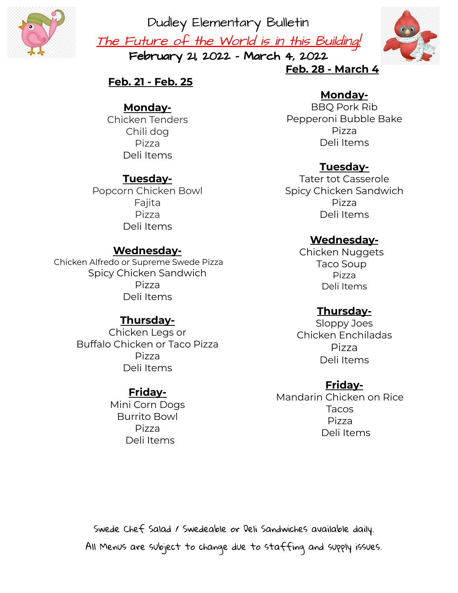

Dudley Elementary Bulletin The Future of the World is in this Building! February 21, 2022 - March 4, 2022



# **Feb. 21 - Feb. 25**

### **Monday-**

Chicken Tenders Chili dog Pizza Deli Items

### **Tuesday-**

Popcorn Chicken Bowl Fajita Pizza Deli Items

# **Wednesday-**

Chicken Alfredo or Supreme Swede Pizza Spicy Chicken Sandwich Pizza Deli Items

#### **Thursday-**

Chicken Legs or Buffalo Chicken or Taco Pizza Pizza Deli Items

# **Friday-**

Mini Corn Dogs Burrito Bowl Pizza Deli Items

# **Feb. 28 - March 4**

# **Monday-**

BBQ Pork Rib Pepperoni Bubble Bake Pizza Deli Items

# **Tuesday-**

Tater tot Casserole Spicy Chicken Sandwich Pizza Deli Items

### **Wednesday-**

Chicken Nuggets Taco Soup Pizza Deli Items

#### **Thursday-**

Sloppy Joes Chicken Enchiladas Pizza Deli Items

#### **Friday-**

Mandarin Chicken on Rice Tacos Pizza Deli Items

Swede Chef Salad / Swedeable or Deli Sandwiches available daily. All Menus are subject to change due to staffing and supply issues.